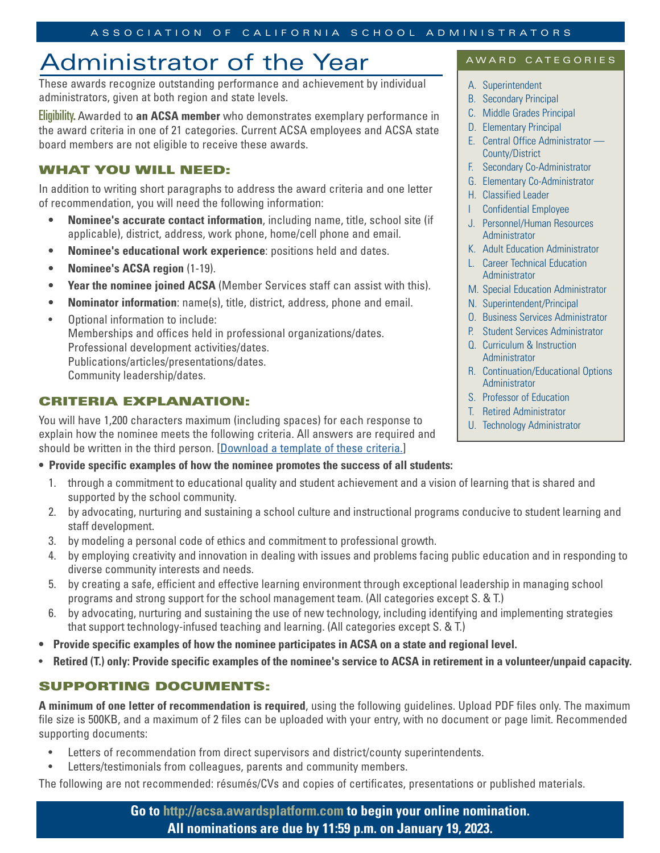# Administrator of the Year

These awards recognize outstanding performance and achievement by individual administrators, given at both region and state levels.

Eligibility. Awarded to **an ACSA member** who demonstrates exemplary performance in the award criteria in one of 21 categories. Current ACSA employees and ACSA state board members are not eligible to receive these awards.

## WHAT YOU WILL NEED:

In addition to writing short paragraphs to address the award criteria and one letter of recommendation, you will need the following information:

- **• Nominee's accurate contact information**, including name, title, school site (if applicable), district, address, work phone, home/cell phone and email.
- **• Nominee's educational work experience**: positions held and dates.
- **• Nominee's ACSA region** (1-19).
- **• Year the nominee joined ACSA** (Member Services staff can assist with this).
- **• Nominator information**: name(s), title, district, address, phone and email.
- Optional information to include: Memberships and offices held in professional organizations/dates. Professional development activities/dates. Publications/articles/presentations/dates. Community leadership/dates.

## CRITERIA EXPLANATION:

You will have 1,200 characters maximum (including spaces) for each response to explain how the nominee meets the following criteria. All answers are required and should be written in the third person. [Download a template of these criteria.]

#### **• Provide specific examples of how the nominee promotes the success of all students:**

- 1. through a commitment to educational quality and student achievement and a vision of learning that is shared and supported by the school community.
- 2. by advocating, nurturing and sustaining a school culture and instructional programs conducive to student learning and staff development.
- 3. by modeling a personal code of ethics and commitment to professional growth.
- 4. by employing creativity and innovation in dealing with issues and problems facing public education and in responding to diverse community interests and needs.
- 5. by creating a safe, efficient and effective learning environment through exceptional leadership in managing school programs and strong support for the school management team. (All categories except S. & T.)
- 6. by advocating, nurturing and sustaining the use of new technology, including identifying and implementing strategies that support technology-infused teaching and learning. (All categories except S. & T.)
- **• Provide specific examples of how the nominee participates in ACSA on a state and regional level.**
- **Retired (T.) only: Provide specific examples of the nominee's service to ACSA in retirement in a volunteer/unpaid capacity.**

## SUPPORTING DOCUMENTS:

**A minimum of one letter of recommendation is required**, using the following guidelines. Upload PDF files only. The maximum file size is 500KB, and a maximum of 2 files can be uploaded with your entry, with no document or page limit. Recommended supporting documents:

- Letters of recommendation from direct supervisors and district/county superintendents.
- Letters/testimonials from colleagues, parents and community members.

The following are not recommended: résumés/CVs and copies of certificates, presentations or published materials.

### AWARD CATEGORIES

- A. Superintendent
- B. Secondary Principal
- C. Middle Grades Principal
- D. Elementary Principal
- E. Central Office Administrator County/District
- F. Secondary Co-Administrator
- G. Elementary Co-Administrator
- H. Classified Leader
- Confidential Employee
- J. Personnel/Human Resources Administrator
- K. Adult Education Administrator
- L. Career Technical Education **Administrator**
- M. Special Education Administrator
- N. Superintendent/Principal
- O. Business Services Administrator
- P. Student Services Administrator
- Q. Curriculum & Instruction Administrator
- R. Continuation/Educational Options Administrator
- S. Professor of Education
- T. Retired Administrator
- U. Technology Administrator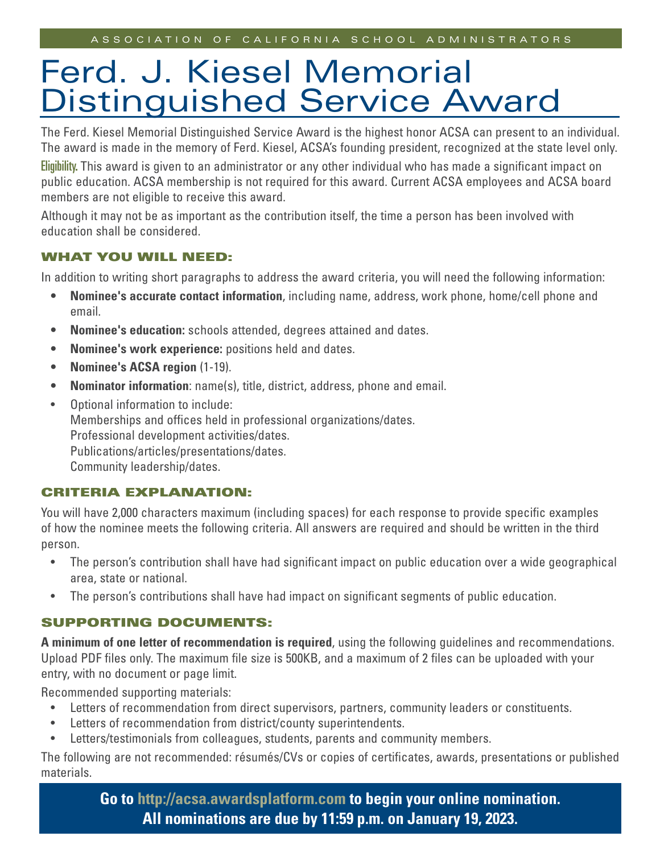# Ferd. J. Kiesel Memorial Distinguished Service Award

The Ferd. Kiesel Memorial Distinguished Service Award is the highest honor ACSA can present to an individual. The award is made in the memory of Ferd. Kiesel, ACSA's founding president, recognized at the state level only.

Eligibility. This award is given to an administrator or any other individual who has made a significant impact on public education. ACSA membership is not required for this award. Current ACSA employees and ACSA board members are not eligible to receive this award.

Although it may not be as important as the contribution itself, the time a person has been involved with education shall be considered.

### WHAT YOU WILL NEED:

In addition to writing short paragraphs to address the award criteria, you will need the following information:

- **• Nominee's accurate contact information**, including name, address, work phone, home/cell phone and email.
- **• Nominee's education:** schools attended, degrees attained and dates.
- **• Nominee's work experience:** positions held and dates.
- **• Nominee's ACSA region** (1-19).
- **• Nominator information**: name(s), title, district, address, phone and email.
- Optional information to include: Memberships and offices held in professional organizations/dates. Professional development activities/dates. Publications/articles/presentations/dates. Community leadership/dates.

### CRITERIA EXPLANATION:

You will have 2,000 characters maximum (including spaces) for each response to provide specific examples of how the nominee meets the following criteria. All answers are required and should be written in the third person.

- The person's contribution shall have had significant impact on public education over a wide geographical area, state or national.
- The person's contributions shall have had impact on significant segments of public education.

### SUPPORTING DOCUMENTS:

**A minimum of one letter of recommendation is required**, using the following guidelines and recommendations. Upload PDF files only. The maximum file size is 500KB, and a maximum of 2 files can be uploaded with your entry, with no document or page limit.

Recommended supporting materials:

- Letters of recommendation from direct supervisors, partners, community leaders or constituents.
- Letters of recommendation from district/county superintendents.
- Letters/testimonials from colleagues, students, parents and community members.

The following are not recommended: résumés/CVs or copies of certificates, awards, presentations or published materials.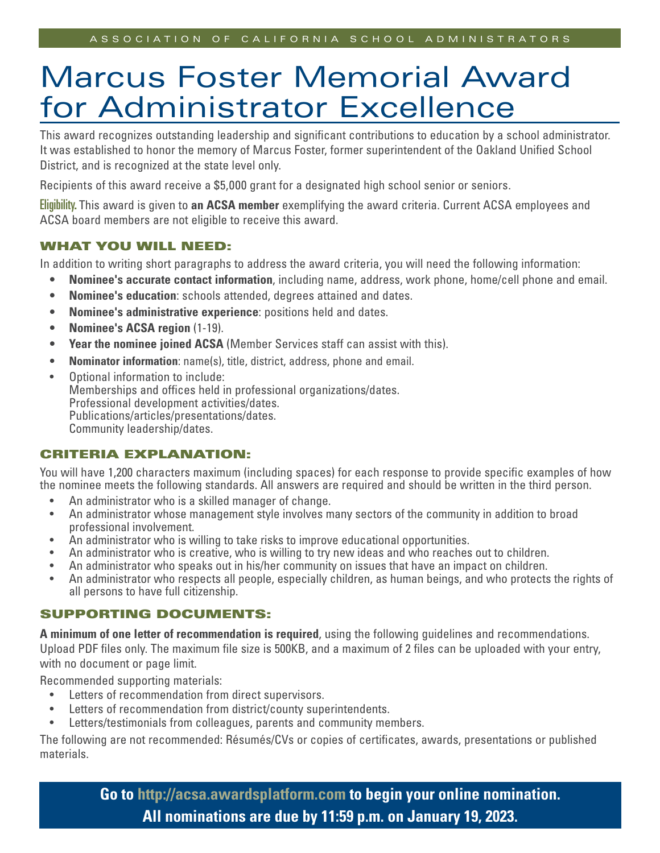# Marcus Foster Memorial Award for Administrator Excellence

This award recognizes outstanding leadership and significant contributions to education by a school administrator. It was established to honor the memory of Marcus Foster, former superintendent of the Oakland Unified School District, and is recognized at the state level only.

Recipients of this award receive a \$5,000 grant for a designated high school senior or seniors.

Eligibility. This award is given to **an ACSA member** exemplifying the award criteria. Current ACSA employees and ACSA board members are not eligible to receive this award.

#### WHAT YOU WILL NEED:

In addition to writing short paragraphs to address the award criteria, you will need the following information:

- **• Nominee's accurate contact information**, including name, address, work phone, home/cell phone and email.
- **• Nominee's education**: schools attended, degrees attained and dates.
- **• Nominee's administrative experience**: positions held and dates.
- **• Nominee's ACSA region** (1-19).
- **• Year the nominee joined ACSA** (Member Services staff can assist with this).
- **• Nominator information**: name(s), title, district, address, phone and email.
- Optional information to include: Memberships and offices held in professional organizations/dates. Professional development activities/dates. Publications/articles/presentations/dates. Community leadership/dates.

### CRITERIA EXPLANATION:

You will have 1,200 characters maximum (including spaces) for each response to provide specific examples of how the nominee meets the following standards. All answers are required and should be written in the third person.

- An administrator who is a skilled manager of change.
- An administrator whose management style involves many sectors of the community in addition to broad professional involvement.
- An administrator who is willing to take risks to improve educational opportunities.
- An administrator who is creative, who is willing to try new ideas and who reaches out to children.
- An administrator who speaks out in his/her community on issues that have an impact on children.
- An administrator who respects all people, especially children, as human beings, and who protects the rights of all persons to have full citizenship.

### SUPPORTING DOCUMENTS:

**A minimum of one letter of recommendation is required**, using the following guidelines and recommendations. Upload PDF files only. The maximum file size is 500KB, and a maximum of 2 files can be uploaded with your entry, with no document or page limit.

Recommended supporting materials:

- Letters of recommendation from direct supervisors.
- Letters of recommendation from district/county superintendents.
- Letters/testimonials from colleagues, parents and community members.

The following are not recommended: Résumés/CVs or copies of certificates, awards, presentations or published materials.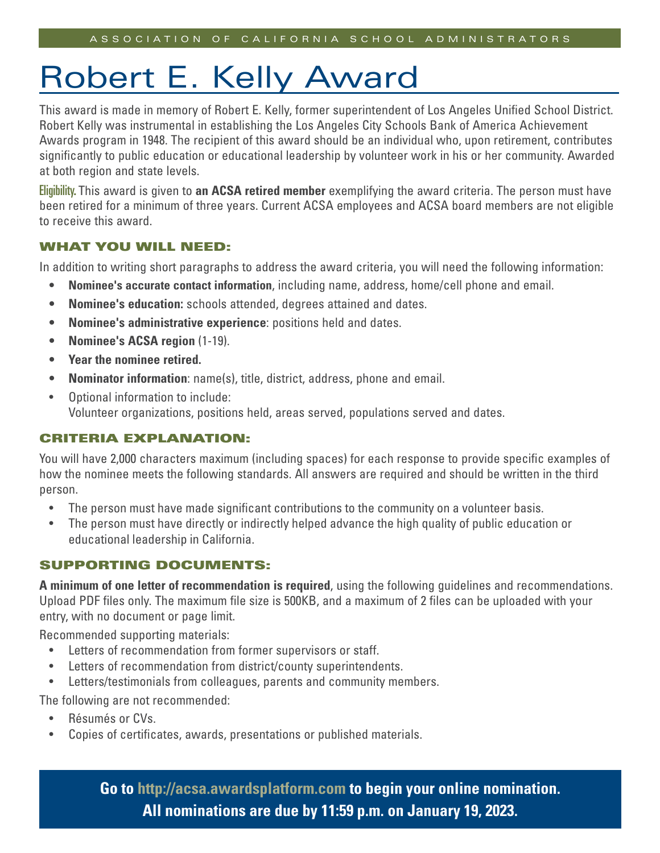# Robert E. Kelly Award

This award is made in memory of Robert E. Kelly, former superintendent of Los Angeles Unified School District. Robert Kelly was instrumental in establishing the Los Angeles City Schools Bank of America Achievement Awards program in 1948. The recipient of this award should be an individual who, upon retirement, contributes significantly to public education or educational leadership by volunteer work in his or her community. Awarded at both region and state levels.

Eligibility. This award is given to **an ACSA retired member** exemplifying the award criteria. The person must have been retired for a minimum of three years. Current ACSA employees and ACSA board members are not eligible to receive this award.

### WHAT YOU WILL NEED:

In addition to writing short paragraphs to address the award criteria, you will need the following information:

- **• Nominee's accurate contact information**, including name, address, home/cell phone and email.
- **• Nominee's education:** schools attended, degrees attained and dates.
- **• Nominee's administrative experience**: positions held and dates.
- **• Nominee's ACSA region** (1-19).
- **• Year the nominee retired.**
- **• Nominator information**: name(s), title, district, address, phone and email.
- Optional information to include: Volunteer organizations, positions held, areas served, populations served and dates.

### CRITERIA EXPLANATION:

You will have 2,000 characters maximum (including spaces) for each response to provide specific examples of how the nominee meets the following standards. All answers are required and should be written in the third person.

- The person must have made significant contributions to the community on a volunteer basis.
- The person must have directly or indirectly helped advance the high quality of public education or educational leadership in California.

### SUPPORTING DOCUMENTS:

**A minimum of one letter of recommendation is required**, using the following guidelines and recommendations. Upload PDF files only. The maximum file size is 500KB, and a maximum of 2 files can be uploaded with your entry, with no document or page limit.

Recommended supporting materials:

- Letters of recommendation from former supervisors or staff.
- Letters of recommendation from district/county superintendents.
- Letters/testimonials from colleagues, parents and community members.

The following are not recommended:

- Résumés or CVs.
- Copies of certificates, awards, presentations or published materials.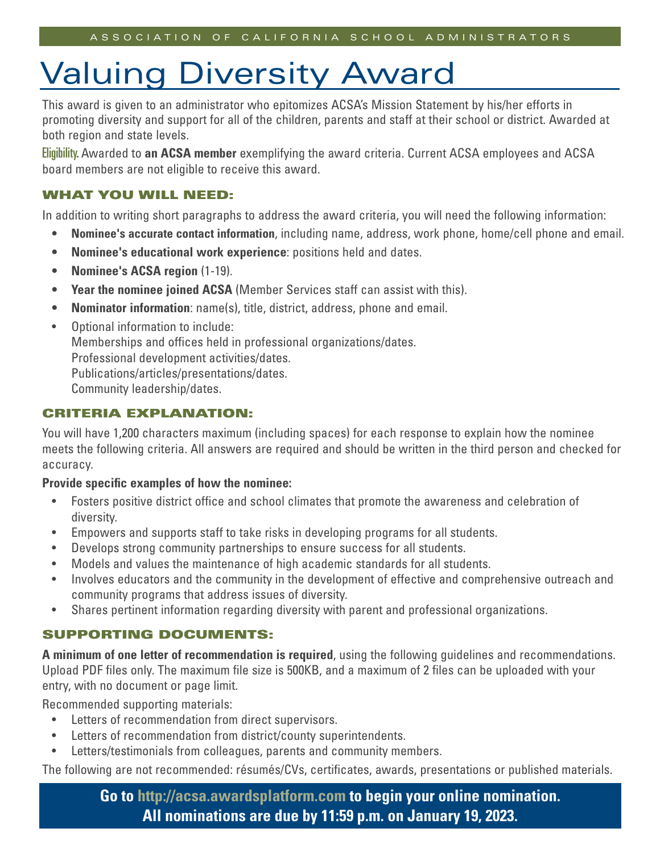# Valuing Diversity Award

This award is given to an administrator who epitomizes ACSA's Mission Statement by his/her efforts in promoting diversity and support for all of the children, parents and staff at their school or district. Awarded at both region and state levels.

Eligibility. Awarded to **an ACSA member** exemplifying the award criteria. Current ACSA employees and ACSA board members are not eligible to receive this award.

### WHAT YOU WILL NEED:

In addition to writing short paragraphs to address the award criteria, you will need the following information:

- **• Nominee's accurate contact information**, including name, address, work phone, home/cell phone and email.
- **• Nominee's educational work experience**: positions held and dates.
- **• Nominee's ACSA region** (1-19).
- **• Year the nominee joined ACSA** (Member Services staff can assist with this).
- **• Nominator information**: name(s), title, district, address, phone and email.
- Optional information to include: Memberships and offices held in professional organizations/dates. Professional development activities/dates. Publications/articles/presentations/dates. Community leadership/dates.

### CRITERIA EXPLANATION:

You will have 1,200 characters maximum (including spaces) for each response to explain how the nominee meets the following criteria. All answers are required and should be written in the third person and checked for accuracy.

#### **Provide specific examples of how the nominee:**

- Fosters positive district office and school climates that promote the awareness and celebration of diversity.
- Empowers and supports staff to take risks in developing programs for all students.
- Develops strong community partnerships to ensure success for all students.
- Models and values the maintenance of high academic standards for all students.
- Involves educators and the community in the development of effective and comprehensive outreach and community programs that address issues of diversity.
- Shares pertinent information regarding diversity with parent and professional organizations.

### SUPPORTING DOCUMENTS:

**A minimum of one letter of recommendation is required**, using the following guidelines and recommendations. Upload PDF files only. The maximum file size is 500KB, and a maximum of 2 files can be uploaded with your entry, with no document or page limit.

Recommended supporting materials:

- Letters of recommendation from direct supervisors.
- Letters of recommendation from district/county superintendents.
- Letters/testimonials from colleagues, parents and community members.

The following are not recommended: résumés/CVs, certificates, awards, presentations or published materials.